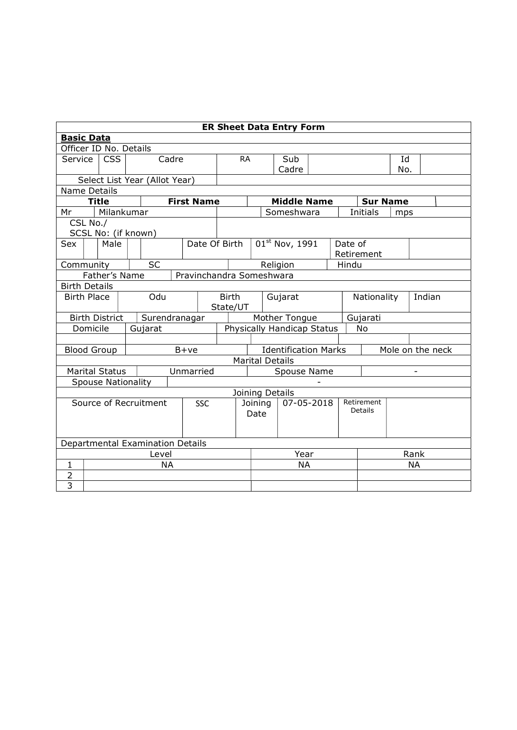| <b>ER Sheet Data Entry Form</b> |                                           |                            |  |  |                                  |        |                   |                                                                           |                           |         |                                  |             |    |         |                 |     |           |  |
|---------------------------------|-------------------------------------------|----------------------------|--|--|----------------------------------|--------|-------------------|---------------------------------------------------------------------------|---------------------------|---------|----------------------------------|-------------|----|---------|-----------------|-----|-----------|--|
| <b>Basic Data</b>               |                                           |                            |  |  |                                  |        |                   |                                                                           |                           |         |                                  |             |    |         |                 |     |           |  |
| Officer ID No. Details          |                                           |                            |  |  |                                  |        |                   |                                                                           |                           |         |                                  |             |    |         |                 |     |           |  |
| Service                         | <b>CSS</b><br>Cadre                       |                            |  |  |                                  |        | <b>RA</b><br>Sub  |                                                                           |                           |         |                                  |             | Id |         |                 |     |           |  |
|                                 |                                           |                            |  |  |                                  |        |                   |                                                                           | Cadre<br>No.              |         |                                  |             |    |         |                 |     |           |  |
|                                 |                                           |                            |  |  | Select List Year (Allot Year)    |        |                   |                                                                           |                           |         |                                  |             |    |         |                 |     |           |  |
| Name Details                    |                                           |                            |  |  |                                  |        |                   |                                                                           |                           |         |                                  |             |    |         |                 |     |           |  |
| Mr                              |                                           | <b>Title</b><br>Milankumar |  |  |                                  |        | <b>First Name</b> |                                                                           |                           |         | <b>Middle Name</b><br>Someshwara |             |    |         | <b>Sur Name</b> |     |           |  |
|                                 |                                           |                            |  |  |                                  |        |                   |                                                                           |                           |         |                                  |             |    |         | <b>Initials</b> | mps |           |  |
| CSL No./<br>SCSL No: (if known) |                                           |                            |  |  |                                  |        |                   |                                                                           |                           |         |                                  |             |    |         |                 |     |           |  |
| Sex                             |                                           | Male                       |  |  |                                  |        | Date Of Birth     |                                                                           |                           |         | 01st Nov, 1991                   |             |    | Date of |                 |     |           |  |
|                                 |                                           |                            |  |  |                                  |        |                   |                                                                           |                           |         |                                  |             |    |         | Retirement      |     |           |  |
| Community                       |                                           |                            |  |  | <b>SC</b>                        |        |                   |                                                                           |                           |         | Religion                         |             |    | Hindu   |                 |     |           |  |
|                                 | Father's Name<br>Pravinchandra Someshwara |                            |  |  |                                  |        |                   |                                                                           |                           |         |                                  |             |    |         |                 |     |           |  |
| <b>Birth Details</b>            |                                           |                            |  |  |                                  |        |                   |                                                                           |                           |         |                                  |             |    |         |                 |     |           |  |
| Odu<br><b>Birth Place</b>       |                                           |                            |  |  | <b>Birth</b>                     |        |                   | Gujarat                                                                   |                           |         |                                  | Nationality |    | Indian  |                 |     |           |  |
|                                 |                                           |                            |  |  |                                  |        |                   | State/UT                                                                  |                           |         |                                  |             |    |         |                 |     |           |  |
|                                 |                                           | <b>Birth District</b>      |  |  | Surendranagar                    |        |                   |                                                                           | Mother Tongue<br>Gujarati |         |                                  |             |    |         |                 |     |           |  |
|                                 |                                           | Domicile                   |  |  | Gujarat                          |        |                   |                                                                           |                           |         | Physically Handicap Status       |             |    |         | No              |     |           |  |
|                                 |                                           |                            |  |  |                                  |        |                   |                                                                           |                           |         |                                  |             |    |         |                 |     |           |  |
|                                 |                                           | <b>Blood Group</b>         |  |  |                                  | $B+ve$ |                   | <b>Identification Marks</b><br>Mole on the neck<br><b>Marital Details</b> |                           |         |                                  |             |    |         |                 |     |           |  |
|                                 |                                           | <b>Marital Status</b>      |  |  |                                  |        | Unmarried         |                                                                           |                           |         |                                  |             |    |         |                 |     |           |  |
|                                 |                                           | <b>Spouse Nationality</b>  |  |  |                                  |        |                   | Spouse Name                                                               |                           |         |                                  |             |    |         |                 |     |           |  |
|                                 |                                           |                            |  |  |                                  |        |                   |                                                                           |                           |         | Joining Details                  |             |    |         |                 |     |           |  |
|                                 |                                           |                            |  |  | Source of Recruitment            |        | <b>SSC</b>        |                                                                           |                           | Joining | 07-05-2018                       |             |    |         | Retirement      |     |           |  |
|                                 |                                           |                            |  |  |                                  |        |                   |                                                                           |                           | Date    |                                  |             |    |         | Details         |     |           |  |
|                                 |                                           |                            |  |  |                                  |        |                   |                                                                           |                           |         |                                  |             |    |         |                 |     |           |  |
|                                 |                                           |                            |  |  |                                  |        |                   |                                                                           |                           |         |                                  |             |    |         |                 |     |           |  |
|                                 |                                           |                            |  |  | Departmental Examination Details |        |                   |                                                                           |                           |         |                                  |             |    |         |                 |     |           |  |
|                                 | Level                                     |                            |  |  |                                  |        |                   | Year                                                                      |                           |         |                                  |             |    | Rank    |                 |     |           |  |
| $\mathbf{1}$                    |                                           |                            |  |  | <b>NA</b>                        |        |                   |                                                                           |                           |         |                                  | <b>NA</b>   |    |         |                 |     | <b>NA</b> |  |
| $\overline{2}$                  |                                           |                            |  |  |                                  |        |                   |                                                                           |                           |         |                                  |             |    |         |                 |     |           |  |
| $\overline{3}$                  |                                           |                            |  |  |                                  |        |                   |                                                                           |                           |         |                                  |             |    |         |                 |     |           |  |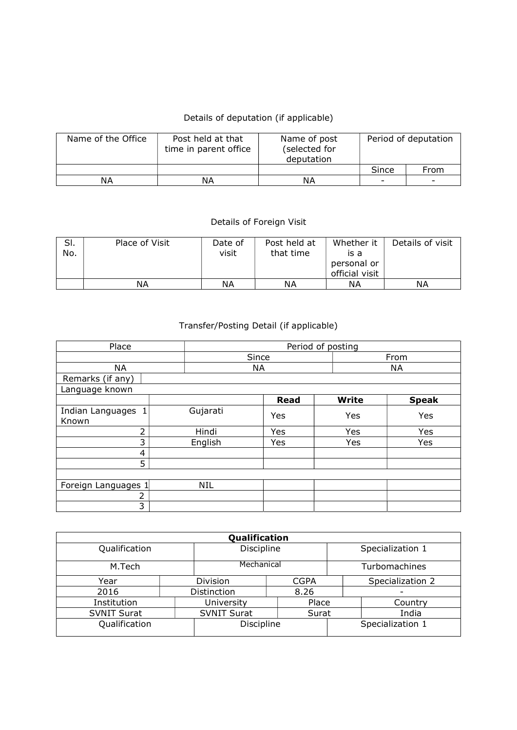## Details of deputation (if applicable)

| Name of the Office | Post held at that<br>time in parent office | Name of post<br>(selected for<br>deputation | Period of deputation     |                          |  |  |
|--------------------|--------------------------------------------|---------------------------------------------|--------------------------|--------------------------|--|--|
|                    |                                            |                                             | Since                    | From                     |  |  |
| ΝA                 | NΑ                                         | ΝA                                          | $\overline{\phantom{0}}$ | $\overline{\phantom{a}}$ |  |  |

## Details of Foreign Visit

| SI.<br>No. | Place of Visit | Date of<br>visit | Post held at<br>that time | Whether it<br>is a<br>personal or<br>official visit | Details of visit |
|------------|----------------|------------------|---------------------------|-----------------------------------------------------|------------------|
|            | ΝA             | NΑ               | ΝA                        | ΝA                                                  | ΝA               |

## Transfer/Posting Detail (if applicable)

| Place                       | Period of posting |     |             |      |              |  |              |  |
|-----------------------------|-------------------|-----|-------------|------|--------------|--|--------------|--|
|                             |                   |     |             | From |              |  |              |  |
| <b>NA</b>                   | <b>NA</b>         |     |             |      | NA           |  |              |  |
| Remarks (if any)            |                   |     |             |      |              |  |              |  |
| Language known              |                   |     |             |      |              |  |              |  |
|                             |                   |     | <b>Read</b> |      | <b>Write</b> |  | <b>Speak</b> |  |
| Indian Languages 1<br>Known | Gujarati          | Yes |             |      | Yes          |  | Yes          |  |
| $\overline{2}$              | Hindi             | Yes |             |      | Yes          |  | Yes          |  |
| 3                           | English           | Yes |             |      | Yes          |  | Yes          |  |
| 4                           |                   |     |             |      |              |  |              |  |
| 5                           |                   |     |             |      |              |  |              |  |
|                             |                   |     |             |      |              |  |              |  |
| Foreign Languages 1         | <b>NIL</b>        |     |             |      |              |  |              |  |
| 2                           |                   |     |             |      |              |  |              |  |
| 3                           |                   |     |             |      |              |  |              |  |

| Qualification      |  |                    |             |                  |                  |  |  |  |  |  |
|--------------------|--|--------------------|-------------|------------------|------------------|--|--|--|--|--|
| Qualification      |  | Discipline         |             | Specialization 1 |                  |  |  |  |  |  |
| M.Tech             |  | Mechanical         |             | Turbomachines    |                  |  |  |  |  |  |
| Year               |  | Division           | <b>CGPA</b> |                  | Specialization 2 |  |  |  |  |  |
| 2016               |  | Distinction        | 8.26        |                  |                  |  |  |  |  |  |
| Institution        |  | University         | Place       |                  | Country          |  |  |  |  |  |
| <b>SVNIT Surat</b> |  | <b>SVNIT Surat</b> | Surat       |                  | India            |  |  |  |  |  |
| Qualification      |  | Discipline         |             | Specialization 1 |                  |  |  |  |  |  |